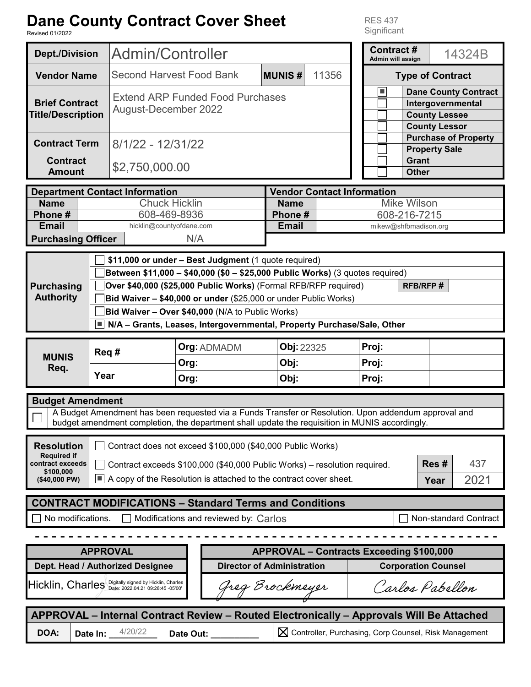| <b>Dane County Contract Cover Sheet</b><br><b>RES 437</b><br>Significant<br><b>Revised 01/2022</b>                                                                                                                                |              |                                                                                                                                                                                                                                                                                                                                                                                                                              |                                                                                                                   |              |                                                      |                                                             |                         |                                              |        |                                                                                 |
|-----------------------------------------------------------------------------------------------------------------------------------------------------------------------------------------------------------------------------------|--------------|------------------------------------------------------------------------------------------------------------------------------------------------------------------------------------------------------------------------------------------------------------------------------------------------------------------------------------------------------------------------------------------------------------------------------|-------------------------------------------------------------------------------------------------------------------|--------------|------------------------------------------------------|-------------------------------------------------------------|-------------------------|----------------------------------------------|--------|---------------------------------------------------------------------------------|
| <b>Dept./Division</b>                                                                                                                                                                                                             |              | Admin/Controller                                                                                                                                                                                                                                                                                                                                                                                                             |                                                                                                                   |              | <b>Contract#</b><br>Admin will assign                |                                                             |                         |                                              | 14324B |                                                                                 |
| <b>Vendor Name</b>                                                                                                                                                                                                                |              |                                                                                                                                                                                                                                                                                                                                                                                                                              | 11356<br><b>Second Harvest Food Bank</b><br><b>MUNIS#</b>                                                         |              |                                                      | <b>Type of Contract</b>                                     |                         |                                              |        |                                                                                 |
| <b>Brief Contract</b><br><b>Title/Description</b>                                                                                                                                                                                 |              | <b>Extend ARP Funded Food Purchases</b><br><b>August-December 2022</b>                                                                                                                                                                                                                                                                                                                                                       |                                                                                                                   |              |                                                      |                                                             | ш                       | <b>County Lessee</b><br><b>County Lessor</b> |        | <b>Dane County Contract</b><br>Intergovernmental<br><b>Purchase of Property</b> |
| <b>Contract Term</b><br><b>Contract</b><br><b>Amount</b>                                                                                                                                                                          |              | 8/1/22 - 12/31/22<br>\$2,750,000.00                                                                                                                                                                                                                                                                                                                                                                                          |                                                                                                                   |              | <b>Property Sale</b><br><b>Grant</b><br><b>Other</b> |                                                             |                         |                                              |        |                                                                                 |
| <b>Department Contact Information</b><br><b>Name</b><br>Phone#<br><b>Email</b><br><b>Purchasing Officer</b>                                                                                                                       |              |                                                                                                                                                                                                                                                                                                                                                                                                                              | <b>Name</b><br><b>Chuck Hicklin</b><br>Phone #<br>608-469-8936<br><b>Email</b><br>hicklin@countyofdane.com<br>N/A |              | <b>Vendor Contact Information</b>                    | <b>Mike Wilson</b><br>608-216-7215<br>mikew@shfbmadison.org |                         |                                              |        |                                                                                 |
| <b>Purchasing</b><br><b>Authority</b>                                                                                                                                                                                             | Iш           | \$11,000 or under - Best Judgment (1 quote required)<br>Between \$11,000 - \$40,000 (\$0 - \$25,000 Public Works) (3 quotes required)<br><b>RFB/RFP#</b><br>Over \$40,000 (\$25,000 Public Works) (Formal RFB/RFP required)<br>Bid Waiver - \$40,000 or under (\$25,000 or under Public Works)<br>Bid Waiver - Over \$40,000 (N/A to Public Works)<br>N/A - Grants, Leases, Intergovernmental, Property Purchase/Sale, Other |                                                                                                                   |              |                                                      |                                                             |                         |                                              |        |                                                                                 |
| <b>MUNIS</b><br>Req.                                                                                                                                                                                                              | Req#<br>Year |                                                                                                                                                                                                                                                                                                                                                                                                                              | <b>Org: ADMADM</b><br>Org:<br>Org:                                                                                | Obj:<br>Obj: | Obj: 22325                                           |                                                             | Proj:<br>Proj:<br>Proj: |                                              |        |                                                                                 |
| <b>Budget Amendment</b><br>A Budget Amendment has been requested via a Funds Transfer or Resolution. Upon addendum approval and<br>budget amendment completion, the department shall update the requisition in MUNIS accordingly. |              |                                                                                                                                                                                                                                                                                                                                                                                                                              |                                                                                                                   |              |                                                      |                                                             |                         |                                              |        |                                                                                 |
| <b>Resolution</b><br><b>Required if</b><br>contract exceeds<br>\$100,000<br>(\$40,000 PW)                                                                                                                                         |              | Contract does not exceed \$100,000 (\$40,000 Public Works)<br>Res#                                                                                                                                                                                                                                                                                                                                                           |                                                                                                                   |              |                                                      |                                                             |                         |                                              |        |                                                                                 |
|                                                                                                                                                                                                                                   | $\Box$       | Contract exceeds \$100,000 (\$40,000 Public Works) - resolution required.<br>A copy of the Resolution is attached to the contract cover sheet.                                                                                                                                                                                                                                                                               |                                                                                                                   |              |                                                      |                                                             |                         |                                              |        | 437<br>2021                                                                     |
|                                                                                                                                                                                                                                   |              |                                                                                                                                                                                                                                                                                                                                                                                                                              |                                                                                                                   |              |                                                      |                                                             |                         |                                              |        |                                                                                 |

### **CONTRACT MODIFICATIONS – Standard Terms and Conditions**

No modifications.  $\mid \square$  Modifications and reviewed by:  $\textsf{Carlos} \quad \text{ } \square \quad \text{ } \square \quad \text{Non-standard Contract}$ 

| <b>APPROVAL</b>                                                                          |                     |           | APPROVAL - Contracts Exceeding \$100,000 |  |                                                         |  |  |
|------------------------------------------------------------------------------------------|---------------------|-----------|------------------------------------------|--|---------------------------------------------------------|--|--|
| Dept. Head / Authorized Designee                                                         |                     |           | <b>Director of Administration</b>        |  | <b>Corporation Counsel</b>                              |  |  |
| Hicklin, Charles Digitally signed by Hicklin, Charles                                    |                     |           | Greg Brockmeyer                          |  | Carlos Pabellon                                         |  |  |
| APPROVAL – Internal Contract Review – Routed Electronically – Approvals Will Be Attached |                     |           |                                          |  |                                                         |  |  |
| DOA:                                                                                     | 4/20/22<br>Date In: | Date Out: |                                          |  | X Controller, Purchasing, Corp Counsel, Risk Management |  |  |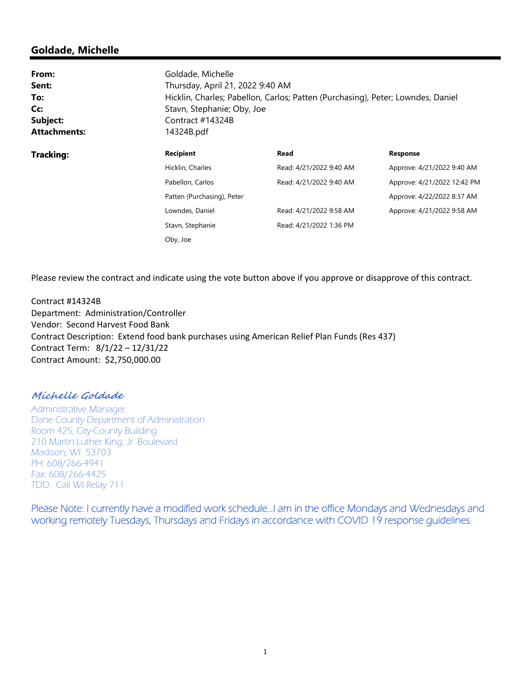### **Goldade, Michelle**

| From:<br>Sent:<br>To:<br>Cc:<br>Subject:<br><b>Attachments:</b> | Goldade, Michelle<br>Contract #14324B<br>14324B.pdf | Thursday, April 21, 2022 9:40 AM<br>Hicklin, Charles; Pabellon, Carlos; Patten (Purchasing), Peter; Lowndes, Daniel<br>Stavn, Stephanie; Oby, Joe |                             |  |  |  |  |
|-----------------------------------------------------------------|-----------------------------------------------------|---------------------------------------------------------------------------------------------------------------------------------------------------|-----------------------------|--|--|--|--|
| <b>Tracking:</b>                                                | <b>Recipient</b>                                    | Read                                                                                                                                              | <b>Response</b>             |  |  |  |  |
|                                                                 | Hicklin, Charles                                    | Read: 4/21/2022 9:40 AM                                                                                                                           | Approve: 4/21/2022 9:40 AM  |  |  |  |  |
|                                                                 | Pabellon, Carlos                                    | Read: 4/21/2022 9:40 AM                                                                                                                           | Approve: 4/21/2022 12:42 PM |  |  |  |  |
|                                                                 | Patten (Purchasing), Peter                          |                                                                                                                                                   | Approve: 4/22/2022 8:37 AM  |  |  |  |  |
|                                                                 | Lowndes, Daniel                                     | Read: 4/21/2022 9:58 AM                                                                                                                           | Approve: 4/21/2022 9:58 AM  |  |  |  |  |
|                                                                 | Stavn, Stephanie                                    | Read: 4/21/2022 1:36 PM                                                                                                                           |                             |  |  |  |  |
|                                                                 | Oby, Joe                                            |                                                                                                                                                   |                             |  |  |  |  |

Please review the contract and indicate using the vote button above if you approve or disapprove of this contract.

Contract #14324B Department: Administration/Controller Vendor: Second Harvest Food Bank Contract Description: Extend food bank purchases using American Relief Plan Funds (Res 437) Contract Term: 8/1/22 – 12/31/22 Contract Amount: \$2,750,000.00

### **Michelle Goldade**

Administrative Manager Dane County Department of Administration Room 425, City-County Building 210 Martin Luther King, Jr. Boulevard Madison, WI 53703 PH: 608/266-4941 Fax: 608/266-4425 TDD: Call WI Relay 711

Please Note: I currently have a modified work schedule…I am in the office Mondays and Wednesdays and working remotely Tuesdays, Thursdays and Fridays in accordance with COVID 19 response guidelines.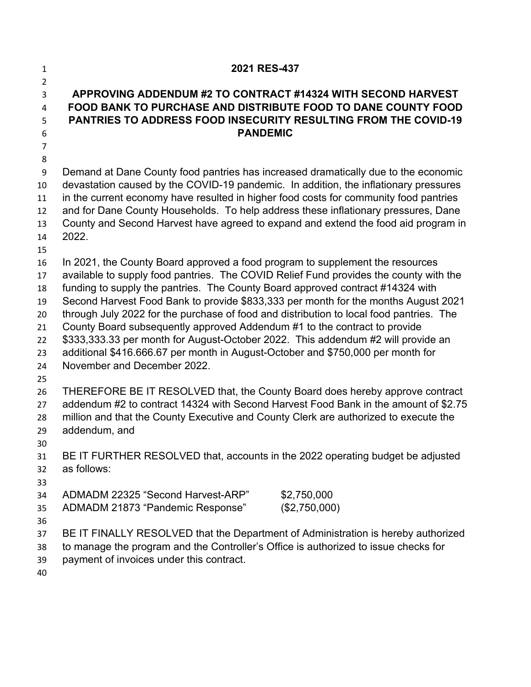| $\mathbf{1}$   | 2021 RES-437                                                                                                                                                  |  |  |  |  |  |
|----------------|---------------------------------------------------------------------------------------------------------------------------------------------------------------|--|--|--|--|--|
| $\overline{2}$ |                                                                                                                                                               |  |  |  |  |  |
| 3<br>4         | APPROVING ADDENDUM #2 TO CONTRACT #14324 WITH SECOND HARVEST<br><b>FOOD BANK TO PURCHASE AND DISTRIBUTE FOOD TO DANE COUNTY FOOD</b>                          |  |  |  |  |  |
| 5              | <b>PANTRIES TO ADDRESS FOOD INSECURITY RESULTING FROM THE COVID-19</b>                                                                                        |  |  |  |  |  |
| 6              | <b>PANDEMIC</b>                                                                                                                                               |  |  |  |  |  |
| $\overline{7}$ |                                                                                                                                                               |  |  |  |  |  |
| 8              |                                                                                                                                                               |  |  |  |  |  |
| 9              | Demand at Dane County food pantries has increased dramatically due to the economic                                                                            |  |  |  |  |  |
| 10             | devastation caused by the COVID-19 pandemic. In addition, the inflationary pressures                                                                          |  |  |  |  |  |
| 11             | in the current economy have resulted in higher food costs for community food pantries                                                                         |  |  |  |  |  |
| 12             | and for Dane County Households. To help address these inflationary pressures, Dane                                                                            |  |  |  |  |  |
| 13             | County and Second Harvest have agreed to expand and extend the food aid program in                                                                            |  |  |  |  |  |
| 14             | 2022.                                                                                                                                                         |  |  |  |  |  |
| 15             |                                                                                                                                                               |  |  |  |  |  |
| 16             | In 2021, the County Board approved a food program to supplement the resources                                                                                 |  |  |  |  |  |
| 17             | available to supply food pantries. The COVID Relief Fund provides the county with the                                                                         |  |  |  |  |  |
| 18             | funding to supply the pantries. The County Board approved contract #14324 with                                                                                |  |  |  |  |  |
| 19<br>20       | Second Harvest Food Bank to provide \$833,333 per month for the months August 2021                                                                            |  |  |  |  |  |
| 21             | through July 2022 for the purchase of food and distribution to local food pantries. The                                                                       |  |  |  |  |  |
| 22             | County Board subsequently approved Addendum #1 to the contract to provide<br>\$333,333.33 per month for August-October 2022. This addendum #2 will provide an |  |  |  |  |  |
| 23             | additional \$416.666.67 per month in August-October and \$750,000 per month for                                                                               |  |  |  |  |  |
| 24             | November and December 2022.                                                                                                                                   |  |  |  |  |  |
| 25             |                                                                                                                                                               |  |  |  |  |  |
| 26             | THEREFORE BE IT RESOLVED that, the County Board does hereby approve contract                                                                                  |  |  |  |  |  |
| 27             | addendum #2 to contract 14324 with Second Harvest Food Bank in the amount of \$2.75                                                                           |  |  |  |  |  |
| 28             | million and that the County Executive and County Clerk are authorized to execute the                                                                          |  |  |  |  |  |
| 29             | addendum, and                                                                                                                                                 |  |  |  |  |  |
| 30             |                                                                                                                                                               |  |  |  |  |  |
| 31             | BE IT FURTHER RESOLVED that, accounts in the 2022 operating budget be adjusted                                                                                |  |  |  |  |  |
| 32             | as follows:                                                                                                                                                   |  |  |  |  |  |
| 33             |                                                                                                                                                               |  |  |  |  |  |
| 34             | ADMADM 22325 "Second Harvest-ARP"<br>\$2,750,000                                                                                                              |  |  |  |  |  |
| 35             | (\$2,750,000)<br>ADMADM 21873 "Pandemic Response"                                                                                                             |  |  |  |  |  |
| 36             |                                                                                                                                                               |  |  |  |  |  |
| 37             | BE IT FINALLY RESOLVED that the Department of Administration is hereby authorized                                                                             |  |  |  |  |  |
| 38             | to manage the program and the Controller's Office is authorized to issue checks for                                                                           |  |  |  |  |  |
| 39             | payment of invoices under this contract.                                                                                                                      |  |  |  |  |  |
| $\Lambda$      |                                                                                                                                                               |  |  |  |  |  |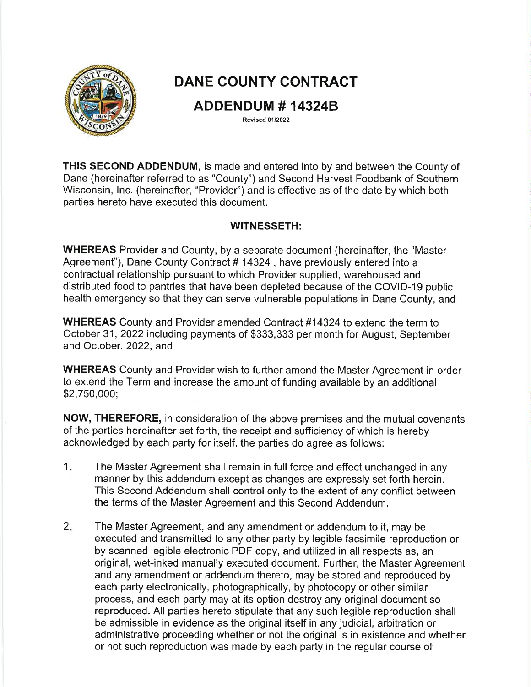

# **DANE COUNTY CONTRACT**

## **ADDENDUM # 14324B**

**Revised 01/2022** 

**THIS SECOND ADDENDUM, is made and entered into by and between the County of** Dane (hereinafter referred to as "County") and Second Harvest Foodbank of Southern Wisconsin, Inc. (hereinafter, "Provider") and is effective as of the date by which both parties hereto have executed this document.

### **WITNESSETH:**

**WHEREAS** Provider and County, by a separate document (hereinafter, the "Master" Agreement"), Dane County Contract #14324, have previously entered into a contractual relationship pursuant to which Provider supplied, warehoused and distributed food to pantries that have been depleted because of the COVID-19 public health emergency so that they can serve vulnerable populations in Dane County, and

WHEREAS County and Provider amended Contract #14324 to extend the term to October 31, 2022 including payments of \$333,333 per month for August, September and October, 2022, and

**WHEREAS** County and Provider wish to further amend the Master Agreement in order to extend the Term and increase the amount of funding available by an additional  $$2,750,000;$ 

**NOW, THEREFORE, in consideration of the above premises and the mutual covenants** of the parties hereinafter set forth, the receipt and sufficiency of which is hereby acknowledged by each party for itself, the parties do agree as follows:

- $1.$ The Master Agreement shall remain in full force and effect unchanged in any manner by this addendum except as changes are expressly set forth herein. This Second Addendum shall control only to the extent of any conflict between the terms of the Master Agreement and this Second Addendum.
- $2.$ The Master Agreement, and any amendment or addendum to it, may be executed and transmitted to any other party by legible facsimile reproduction or by scanned legible electronic PDF copy, and utilized in all respects as, an original, wet-inked manually executed document. Further, the Master Agreement and any amendment or addendum thereto, may be stored and reproduced by each party electronically, photographically, by photocopy or other similar process, and each party may at its option destroy any original document so reproduced. All parties hereto stipulate that any such legible reproduction shall be admissible in evidence as the original itself in any judicial, arbitration or administrative proceeding whether or not the original is in existence and whether or not such reproduction was made by each party in the regular course of